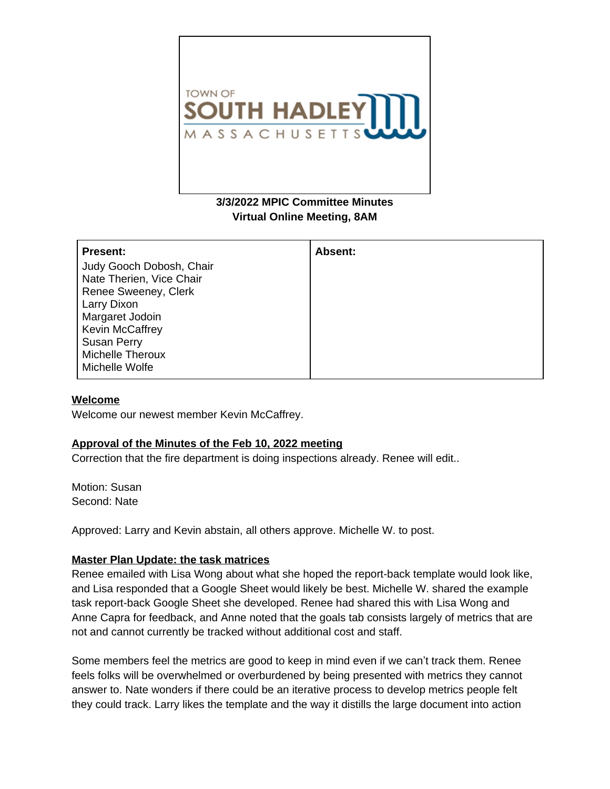

# **3/3/2022 MPIC Committee Minutes Virtual Online Meeting, 8AM**

| <b>Present:</b>          | Absent: |
|--------------------------|---------|
| Judy Gooch Dobosh, Chair |         |
| Nate Therien, Vice Chair |         |
| Renee Sweeney, Clerk     |         |
| Larry Dixon              |         |
| Margaret Jodoin          |         |
| <b>Kevin McCaffrey</b>   |         |
| <b>Susan Perry</b>       |         |
| <b>Michelle Theroux</b>  |         |
| Michelle Wolfe           |         |

#### **Welcome**

Welcome our newest member Kevin McCaffrey.

### **Approval of the Minutes of the Feb 10, 2022 meeting**

Correction that the fire department is doing inspections already. Renee will edit..

Motion: Susan Second: Nate

Approved: Larry and Kevin abstain, all others approve. Michelle W. to post.

### **Master Plan Update: the task matrices**

Renee emailed with Lisa Wong about what she hoped the report-back template would look like, and Lisa responded that a Google Sheet would likely be best. Michelle W. shared the example task report-back Google Sheet she developed. Renee had shared this with Lisa Wong and Anne Capra for feedback, and Anne noted that the goals tab consists largely of metrics that are not and cannot currently be tracked without additional cost and staff.

Some members feel the metrics are good to keep in mind even if we can't track them. Renee feels folks will be overwhelmed or overburdened by being presented with metrics they cannot answer to. Nate wonders if there could be an iterative process to develop metrics people felt they could track. Larry likes the template and the way it distills the large document into action